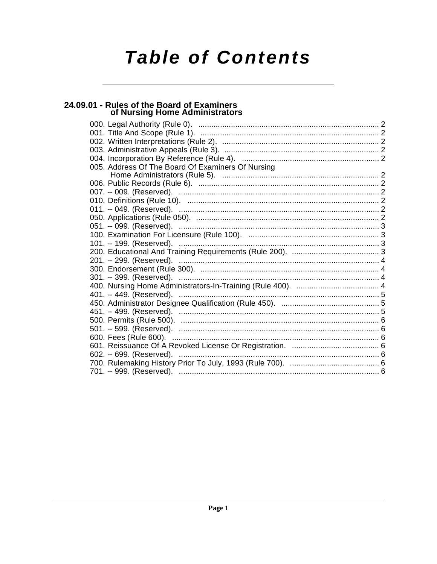# **Table of Contents**

## 24.09.01 - Rules of the Board of Examiners<br>of Nursing Home Administrators

| 005. Address Of The Board Of Examiners Of Nursing |
|---------------------------------------------------|
|                                                   |
|                                                   |
|                                                   |
|                                                   |
|                                                   |
|                                                   |
|                                                   |
|                                                   |
|                                                   |
|                                                   |
|                                                   |
|                                                   |
|                                                   |
|                                                   |
|                                                   |
|                                                   |
|                                                   |
|                                                   |
|                                                   |
|                                                   |
|                                                   |
|                                                   |
|                                                   |
|                                                   |
|                                                   |
|                                                   |
| 602. -- 699. (Reserved).<br><b>Sandwich State</b> |
|                                                   |
|                                                   |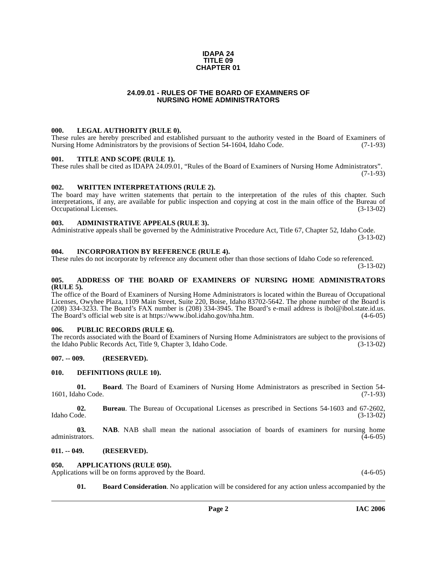#### **IDAPA 24 TITLE 09 CHAPTER 01**

#### **24.09.01 - RULES OF THE BOARD OF EXAMINERS OF NURSING HOME ADMINISTRATORS**

#### <span id="page-1-1"></span><span id="page-1-0"></span>**000. LEGAL AUTHORITY (RULE 0).**

These rules are hereby prescribed and established pursuant to the authority vested in the Board of Examiners of Nursing Home Administrators by the provisions of Section 54-1604, Idaho Code. (7-1-93)

#### <span id="page-1-2"></span>**001. TITLE AND SCOPE (RULE 1).**

These rules shall be cited as IDAPA 24.09.01, "Rules of the Board of Examiners of Nursing Home Administrators". (7-1-93)

#### <span id="page-1-3"></span>**002. WRITTEN INTERPRETATIONS (RULE 2).**

The board may have written statements that pertain to the interpretation of the rules of this chapter. Such interpretations, if any, are available for public inspection and copying at cost in the main office of the Bureau of Occupational Licenses. (3-13-02)

#### <span id="page-1-4"></span>**003. ADMINISTRATIVE APPEALS (RULE 3).**

Administrative appeals shall be governed by the Administrative Procedure Act, Title 67, Chapter 52, Idaho Code.

(3-13-02)

#### <span id="page-1-5"></span>**004. INCORPORATION BY REFERENCE (RULE 4).**

These rules do not incorporate by reference any document other than those sections of Idaho Code so referenced. (3-13-02)

#### <span id="page-1-6"></span>**005. ADDRESS OF THE BOARD OF EXAMINERS OF NURSING HOME ADMINISTRATORS (RULE 5).**

[The office of the Board of Examiners of Nursing Home Administrators is located within the Bureau of Occupational](mailto:ibol@ibol.idaho.gov)  Licenses, Owyhee Plaza, 1109 Main Street, Suite 220, Boise, Idaho 83702-5642. The phone number of the Board is (208) 334-3233. The Board's FAX number is (208) 334-3945. The Board's e-mail address is ibol@ibol.state.id.us. [The Board's official web site is at https://www.ibol.idaho.gov/nha.htm](mailto:ibol@ibol.idaho.gov)[. \(4-6-05\)](https://www.ibol.idaho.gov/nha.htm)

#### <span id="page-1-7"></span>**006. PUBLIC RECORDS (RULE 6).**

The records associated with the Board of Examiners of Nursing Home Administrators are subject to the provisions of the Idaho Public Records Act, Title 9, Chapter 3, Idaho Code. (3-13-02) the Idaho Public Records Act, Title 9, Chapter 3, Idaho Code.

#### <span id="page-1-8"></span>**007. -- 009. (RESERVED).**

#### <span id="page-1-14"></span><span id="page-1-9"></span>**010. DEFINITIONS (RULE 10).**

**01. Board**. The Board of Examiners of Nursing Home Administrators as prescribed in Section 54- 1601, Idaho Code. (7-1-93)

**02.** Bureau. The Bureau of Occupational Licenses as prescribed in Sections 54-1603 and 67-2602, Idaho Code. (3-13-02) Idaho Code. (3-13-02)

**03. NAB**. NAB shall mean the national association of boards of examiners for nursing home administrators. (4-6-05) administrators.  $(4-6-05)$ 

#### <span id="page-1-10"></span>**011. -- 049. (RESERVED).**

#### <span id="page-1-12"></span><span id="page-1-11"></span>**050. APPLICATIONS (RULE 050).**

Applications will be on forms approved by the Board. (4-6-05) (4-6-05)

<span id="page-1-13"></span>**01. Board Consideration**. No application will be considered for any action unless accompanied by the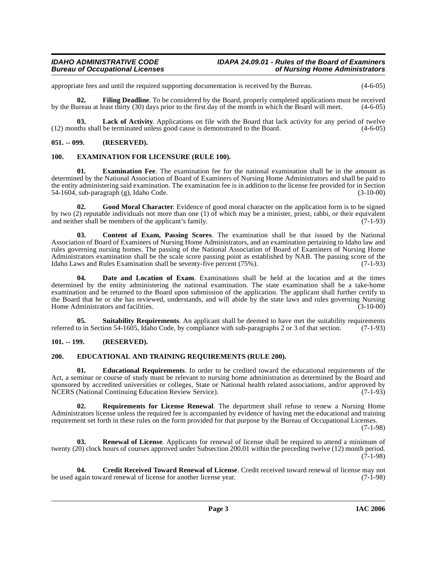### **Bureau of Occupational Licenses**

appropriate fees and until the required supporting documentation is received by the Bureau. (4-6-05)

<span id="page-2-10"></span>**02. Filing Deadline**. To be considered by the Board, properly completed applications must be received by the Bureau at least thirty (30) days prior to the first day of the month in which the Board will meet. (4-6-05)

<span id="page-2-12"></span>**03.** Lack of Activity. Applications on file with the Board that lack activity for any period of twelve this shall be terminated unless good cause is demonstrated to the Board. (4-6-05)  $(12)$  months shall be terminated unless good cause is demonstrated to the Board.

#### <span id="page-2-0"></span>**051. -- 099. (RESERVED).**

#### <span id="page-2-9"></span><span id="page-2-1"></span>**100. EXAMINATION FOR LICENSURE (RULE 100).**

**01. Examination Fee**. The examination fee for the national examination shall be in the amount as determined by the National Association of Board of Examiners of Nursing Home Administrators and shall be paid to the entity administering said examination. The examination fee is in addition to the license fee provided for in Section 54-1604, sub-paragraph (g), Idaho Code. (3-10-00)

<span id="page-2-11"></span>**02. Good Moral Character**. Evidence of good moral character on the application form is to be signed by two (2) reputable individuals not more than one (1) of which may be a minister, priest, rabbi, or their equivalent and neither shall be members of the applicant's family. (7-1-93)

<span id="page-2-4"></span>**03. Content of Exam, Passing Scores**. The examination shall be that issued by the National Association of Board of Examiners of Nursing Home Administrators, and an examination pertaining to Idaho law and rules governing nursing homes. The passing of the National Association of Board of Examiners of Nursing Home Administrators examination shall be the scale score passing point as established by NAB. The passing score of the Idaho Laws and Rules Examination shall be seventy-five percent  $(75\%)$ .  $(7-1-93)$ Idaho Laws and Rules Examination shall be seventy-five percent (75%).

<span id="page-2-6"></span>**Date and Location of Exam**. Examinations shall be held at the location and at the times determined by the entity administering the national examination. The state examination shall be a take-home examination and be returned to the Board upon submission of the application. The applicant shall further certify to the Board that he or she has reviewed, understands, and will abide by the state laws and rules governing Nursing Home Administrators and facilities. (3-10-00)

<span id="page-2-15"></span>**05.** Suitability Requirements. An applicant shall be deemed to have met the suitability requirements to in Section 54-1605. Idaho Code, by compliance with sub-paragraphs 2 or 3 of that section. (7-1-93) referred to in Section 54-1605, Idaho Code, by compliance with sub-paragraphs 2 or 3 of that section.

#### <span id="page-2-7"></span><span id="page-2-2"></span>**101. -- 199. (RESERVED).**

#### <span id="page-2-3"></span>**200. EDUCATIONAL AND TRAINING REQUIREMENTS (RULE 200).**

<span id="page-2-8"></span>**01. Educational Requirements**. In order to be credited toward the educational requirements of the Act, a seminar or course of study must be relevant to nursing home administration as determined by the Board and sponsored by accredited universities or colleges, State or National health related associations, and/or approved by<br>NCERS (National Continuing Education Review Service). (7-1-93) NCERS (National Continuing Education Review Service).

<span id="page-2-14"></span>**02. Requirements for License Renewal**. The department shall refuse to renew a Nursing Home Administrators license unless the required fee is accompanied by evidence of having met the educational and training requirement set forth in these rules on the form provided for that purpose by the Bureau of Occupational Licenses.

(7-1-98)

<span id="page-2-13"></span>**03. Renewal of License**. Applicants for renewal of license shall be required to attend a minimum of twenty (20) clock hours of courses approved under Subsection 200.01 within the preceding twelve (12) month period.  $(7-1-98)$ 

<span id="page-2-5"></span>**04.** Credit Received Toward Renewal of License. Credit received toward renewal of license may not ugain toward renewal of license for another license year. (7-1-98) be used again toward renewal of license for another license year.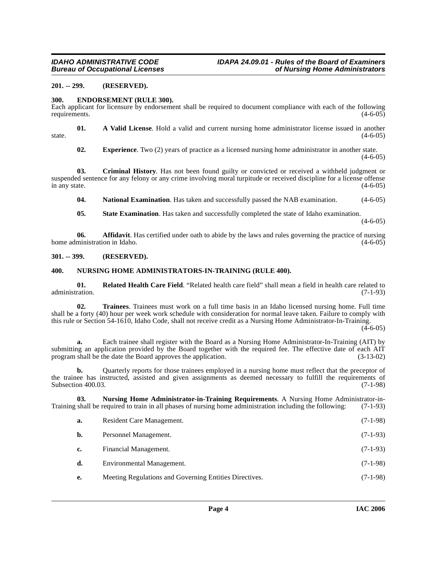### **Bureau of Occupational Licenses**

#### <span id="page-3-0"></span>**201. -- 299. (RESERVED).**

#### <span id="page-3-4"></span><span id="page-3-1"></span>**300. ENDORSEMENT (RULE 300).**

Each applicant for licensure by endorsement shall be required to document compliance with each of the following requirements. (4-6-05)

**01. A Valid License**. Hold a valid and current nursing home administrator license issued in another state.  $(4-6-05)$ 

**02. Experience**. Two (2) years of practice as a licensed nursing home administrator in another state.  $(4-6-05)$ 

**03. Criminal History**. Has not been found guilty or convicted or received a withheld judgment or suspended sentence for any felony or any crime involving moral turpitude or received discipline for a license offense in any state.  $(4-6-05)$ 

**04.** National Examination. Has taken and successfully passed the NAB examination. (4-6-05)

**05.** State Examination. Has taken and successfully completed the state of Idaho examination.

 $(4-6-05)$ 

**06. Affidavit**. Has certified under oath to abide by the laws and rules governing the practice of nursing ministration in Idaho. (4-6-05) home administration in Idaho.

#### <span id="page-3-2"></span>**301. -- 399. (RESERVED).**

#### <span id="page-3-6"></span><span id="page-3-3"></span>**400. NURSING HOME ADMINISTRATORS-IN-TRAINING (RULE 400).**

<span id="page-3-7"></span>**01. Related Health Care Field**. "Related health care field" shall mean a field in health care related to (7-1-93) administration.

<span id="page-3-8"></span>**02. Trainees**. Trainees must work on a full time basis in an Idaho licensed nursing home. Full time shall be a forty (40) hour per week work schedule with consideration for normal leave taken. Failure to comply with this rule or Section 54-1610, Idaho Code, shall not receive credit as a Nursing Home Administrator-In-Training.

 $(4-6-05)$ 

**a.** Each trainee shall register with the Board as a Nursing Home Administrator-In-Training (AIT) by submitting an application provided by the Board together with the required fee. The effective date of each AIT program shall be the date the Board approves the application. (3-13-02)

**b.** Quarterly reports for those trainees employed in a nursing home must reflect that the preceptor of the trainee has instructed, assisted and given assignments as deemed necessary to fulfill the requirements of Subsection 400.03. (7-1-98)

**03.** Nursing Home Administrator-in-Training Requirements. A Nursing Home Administrator-in-<br>shall be required to train in all phases of nursing home administration including the following: (7-1-93) Training shall be required to train in all phases of nursing home administration including the following:

<span id="page-3-5"></span>

| a. | Resident Care Management.                              | $(7-1-98)$ |
|----|--------------------------------------------------------|------------|
| b. | Personnel Management.                                  | $(7-1-93)$ |
| c. | Financial Management.                                  | $(7-1-93)$ |
| d. | Environmental Management.                              | $(7-1-98)$ |
| e. | Meeting Regulations and Governing Entities Directives. | $(7-1-98)$ |
|    |                                                        |            |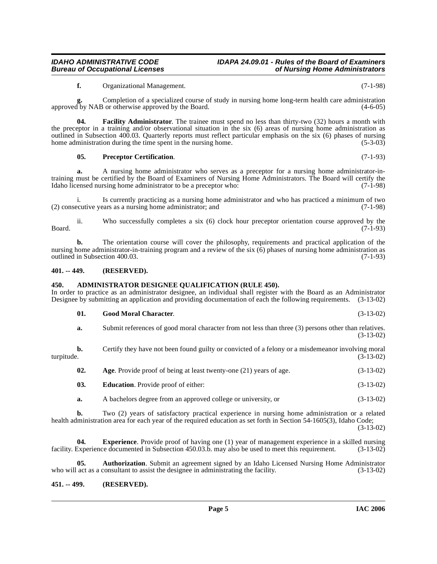### **Bureau of Occupational Licenses**

### **IDAHO ADMINISTRATIVE CODE IDAPA 24.09.01 - Rules of the Board of Examiners**

<span id="page-4-8"></span>**f.** Organizational Management. (7-1-98)

**g.** Completion of a specialized course of study in nursing home long-term health care administration approved by NAB or otherwise approved by the Board. (4-6-05)

**04. Facility Administrator**. The trainee must spend no less than thirty-two (32) hours a month with the preceptor in a training and/or observational situation in the six (6) areas of nursing home administration as outlined in Subsection 400.03. Quarterly reports must reflect particular emphasis on the six (6) phases of nursing home administration during the time spent in the nursing home. (5-3-03) home administration during the time spent in the nursing home.

#### <span id="page-4-10"></span>**05. Preceptor Certification**. (7-1-93)

**a.** A nursing home administrator who serves as a preceptor for a nursing home administrator-intraining must be certified by the Board of Examiners of Nursing Home Administrators. The Board will certify the Idaho licensed nursing home administrator to be a preceptor who: (7-1-98)

i. Is currently practicing as a nursing home administrator and who has practiced a minimum of two equative years as a nursing home administrator; and  $(7-1-98)$  $(2)$  consecutive years as a nursing home administrator; and

ii. Who successfully completes a six  $(6)$  clock hour preceptor orientation course approved by the  $(7-1-93)$ Board. (7-1-93)

**b.** The orientation course will cover the philosophy, requirements and practical application of the nursing home administrator-in-training program and a review of the six (6) phases of nursing home administration as outlined in Subsection 400.03. (7-1-93)

#### <span id="page-4-0"></span>**401. -- 449. (RESERVED).**

#### <span id="page-4-3"></span><span id="page-4-1"></span>**450. ADMINISTRATOR DESIGNEE QUALIFICATION (RULE 450).**

In order to practice as an administrator designee, an individual shall register with the Board as an Administrator Designee by submitting an application and providing documentation of each the following requirements. (3-13-02)

<span id="page-4-9"></span>

| -01. | <b>Good Moral Character.</b>                                                                         | $(3-13-02)$ |
|------|------------------------------------------------------------------------------------------------------|-------------|
|      | Submit references of good moral character from not less than three (3) persons other than relatives. | $(3-13-02)$ |

**b.** Certify they have not been found guilty or convicted of a felony or a misdemeanor involving moral turpitude.  $(3-13-02)$ turpitude. (3-13-02)

<span id="page-4-4"></span>

| 02. | Age. Provide proof of being at least twenty-one (21) years of age. | $(3-13-02)$ |
|-----|--------------------------------------------------------------------|-------------|
|-----|--------------------------------------------------------------------|-------------|

- <span id="page-4-6"></span>**03. Education**. Provide proof of either: (3-13-02)
- <span id="page-4-7"></span>**a.** A bachelors degree from an approved college or university, or (3-13-02)

**b.** Two (2) years of satisfactory practical experience in nursing home administration or a related health administration area for each year of the required education as set forth in Section 54-1605(3), Idaho Code; (3-13-02)

**04. Experience**. Provide proof of having one (1) year of management experience in a skilled nursing facility. Experience documented in Subsection 450.03.b. may also be used to meet this requirement. (3-13-02)

<span id="page-4-5"></span>**05. Authorization**. Submit an agreement signed by an Idaho Licensed Nursing Home Administrator act as a consultant to assist the designee in administrating the facility. (3-13-02) who will act as a consultant to assist the designee in administrating the facility.

#### <span id="page-4-2"></span>**451. -- 499. (RESERVED).**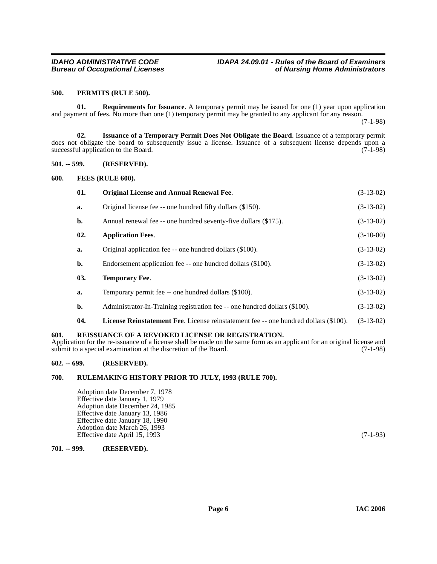#### <span id="page-5-11"></span><span id="page-5-0"></span>**500. PERMITS (RULE 500).**

<span id="page-5-13"></span>**01. Requirements for Issuance**. A temporary permit may be issued for one (1) year upon application and payment of fees. No more than one (1) temporary permit may be granted to any applicant for any reason.

(7-1-98)

<span id="page-5-9"></span>**02. Issuance of a Temporary Permit Does Not Obligate the Board**. Issuance of a temporary permit does not obligate the board to subsequently issue a license. Issuance of a subsequent license depends upon a successful application to the Board.  $(7-1-98)$ 

<span id="page-5-1"></span>**501. -- 599. (RESERVED).**

<span id="page-5-2"></span>**600. FEES (RULE 600).**

<span id="page-5-10"></span><span id="page-5-8"></span><span id="page-5-7"></span>

| 01. | <b>Original License and Annual Renewal Fee.</b>                                             | $(3-13-02)$ |
|-----|---------------------------------------------------------------------------------------------|-------------|
| a.  | Original license fee -- one hundred fifty dollars (\$150).                                  | $(3-13-02)$ |
| b.  | Annual renewal fee -- one hundred seventy-five dollars (\$175).                             | $(3-13-02)$ |
| 02. | <b>Application Fees.</b>                                                                    | $(3-10-00)$ |
| a.  | Original application fee -- one hundred dollars (\$100).                                    | $(3-13-02)$ |
| b.  | Endorsement application fee -- one hundred dollars (\$100).                                 | $(3-13-02)$ |
| 03. | <b>Temporary Fee.</b>                                                                       | $(3-13-02)$ |
| a.  | Temporary permit fee -- one hundred dollars (\$100).                                        | $(3-13-02)$ |
| b.  | Administrator-In-Training registration fee -- one hundred dollars (\$100).                  | $(3-13-02)$ |
| 04. | <b>License Reinstatement Fee.</b> License reinstatement fee -- one hundred dollars (\$100). | $(3-13-02)$ |

#### <span id="page-5-14"></span><span id="page-5-12"></span><span id="page-5-3"></span>**601. REISSUANCE OF A REVOKED LICENSE OR REGISTRATION.**

Application for the re-issuance of a license shall be made on the same form as an applicant for an original license and submit to a special examination at the discretion of the Board. (7-1-98) submit to a special examination at the discretion of the Board.

#### <span id="page-5-4"></span>**602. -- 699. (RESERVED).**

#### <span id="page-5-5"></span>**700. RULEMAKING HISTORY PRIOR TO JULY, 1993 (RULE 700).**

Adoption date December 7, 1978 Effective date January 1, 1979 Adoption date December 24, 1985 Effective date January 13, 1986 Effective date January 18, 1990 Adoption date March 26, 1993 Effective date April 15, 1993 (7-1-93)

#### <span id="page-5-6"></span>**701. -- 999. (RESERVED).**